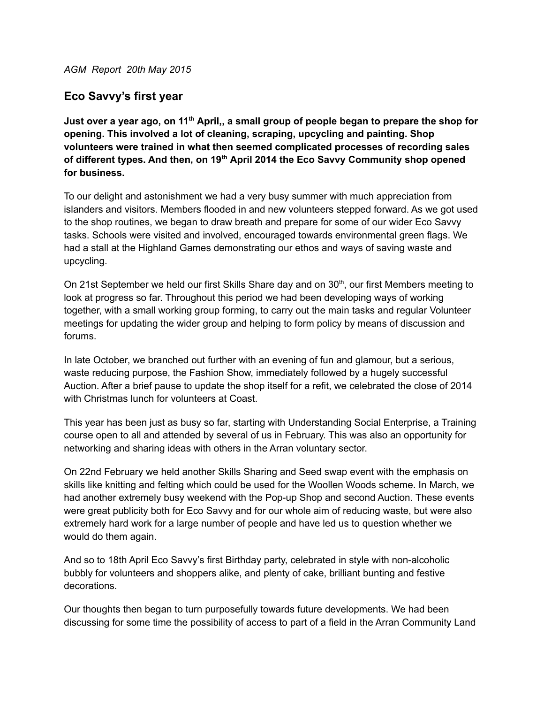*AGM Report 20th May 2015*

## **Eco Savvy's first year**

Just over a year ago, on 11<sup>th</sup> April,, a small group of people began to prepare the shop for **opening. This involved a lot of cleaning, scraping, upcycling and painting. Shop volunteers were trained in what then seemed complicated processes of recording sales of different types. And then, on 19 th April 2014 the Eco Savvy Community shop opened for business.**

To our delight and astonishment we had a very busy summer with much appreciation from islanders and visitors. Members flooded in and new volunteers stepped forward. As we got used to the shop routines, we began to draw breath and prepare for some of our wider Eco Savvy tasks. Schools were visited and involved, encouraged towards environmental green flags. We had a stall at the Highland Games demonstrating our ethos and ways of saving waste and upcycling.

On 21st September we held our first Skills Share day and on 30<sup>th</sup>, our first Members meeting to look at progress so far. Throughout this period we had been developing ways of working together, with a small working group forming, to carry out the main tasks and regular Volunteer meetings for updating the wider group and helping to form policy by means of discussion and forums.

In late October, we branched out further with an evening of fun and glamour, but a serious, waste reducing purpose, the Fashion Show, immediately followed by a hugely successful Auction. After a brief pause to update the shop itself for a refit, we celebrated the close of 2014 with Christmas lunch for volunteers at Coast.

This year has been just as busy so far, starting with Understanding Social Enterprise, a Training course open to all and attended by several of us in February. This was also an opportunity for networking and sharing ideas with others in the Arran voluntary sector.

On 22nd February we held another Skills Sharing and Seed swap event with the emphasis on skills like knitting and felting which could be used for the Woollen Woods scheme. In March, we had another extremely busy weekend with the Pop-up Shop and second Auction. These events were great publicity both for Eco Savvy and for our whole aim of reducing waste, but were also extremely hard work for a large number of people and have led us to question whether we would do them again.

And so to 18th April Eco Savvy's first Birthday party, celebrated in style with non-alcoholic bubbly for volunteers and shoppers alike, and plenty of cake, brilliant bunting and festive decorations.

Our thoughts then began to turn purposefully towards future developments. We had been discussing for some time the possibility of access to part of a field in the Arran Community Land